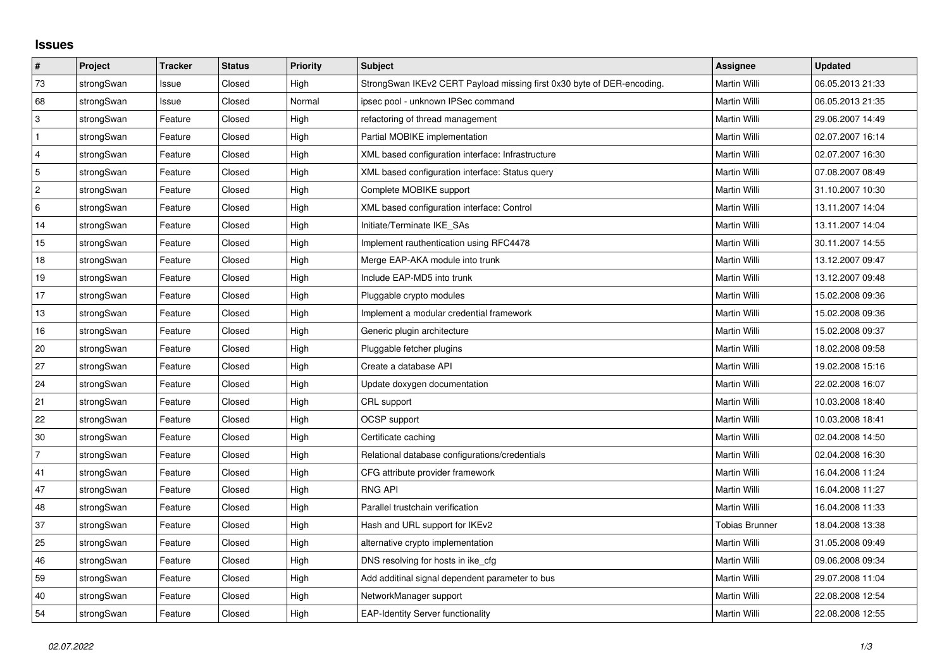## **Issues**

| #              | Project    | <b>Tracker</b> | <b>Status</b> | <b>Priority</b> | <b>Subject</b>                                                         | <b>Assignee</b>       | <b>Updated</b>   |
|----------------|------------|----------------|---------------|-----------------|------------------------------------------------------------------------|-----------------------|------------------|
| 73             | strongSwan | Issue          | Closed        | High            | StrongSwan IKEv2 CERT Payload missing first 0x30 byte of DER-encoding. | Martin Willi          | 06.05.2013 21:33 |
| 68             | strongSwan | Issue          | Closed        | Normal          | ipsec pool - unknown IPSec command                                     | Martin Willi          | 06.05.2013 21:35 |
| $\sqrt{3}$     | strongSwan | Feature        | Closed        | High            | refactoring of thread management                                       | Martin Willi          | 29.06.2007 14:49 |
| $\mathbf{1}$   | strongSwan | Feature        | Closed        | High            | Partial MOBIKE implementation                                          | Martin Willi          | 02.07.2007 16:14 |
| $\overline{4}$ | strongSwan | Feature        | Closed        | High            | XML based configuration interface: Infrastructure                      | Martin Willi          | 02.07.2007 16:30 |
| 5              | strongSwan | Feature        | Closed        | High            | XML based configuration interface: Status query                        | Martin Willi          | 07.08.2007 08:49 |
| $\overline{2}$ | strongSwan | Feature        | Closed        | High            | Complete MOBIKE support                                                | Martin Willi          | 31.10.2007 10:30 |
| 6              | strongSwan | Feature        | Closed        | High            | XML based configuration interface: Control                             | Martin Willi          | 13.11.2007 14:04 |
| 14             | strongSwan | Feature        | Closed        | High            | Initiate/Terminate IKE SAs                                             | Martin Willi          | 13.11.2007 14:04 |
| 15             | strongSwan | Feature        | Closed        | High            | Implement rauthentication using RFC4478                                | <b>Martin Willi</b>   | 30.11.2007 14:55 |
| 18             | strongSwan | Feature        | Closed        | High            | Merge EAP-AKA module into trunk                                        | Martin Willi          | 13.12.2007 09:47 |
| 19             | strongSwan | Feature        | Closed        | High            | Include EAP-MD5 into trunk                                             | Martin Willi          | 13.12.2007 09:48 |
| 17             | strongSwan | Feature        | Closed        | High            | Pluggable crypto modules                                               | Martin Willi          | 15.02.2008 09:36 |
| 13             | strongSwan | Feature        | Closed        | High            | Implement a modular credential framework                               | Martin Willi          | 15.02.2008 09:36 |
| 16             | strongSwan | Feature        | Closed        | High            | Generic plugin architecture                                            | Martin Willi          | 15.02.2008 09:37 |
| 20             | strongSwan | Feature        | Closed        | High            | Pluggable fetcher plugins                                              | Martin Willi          | 18.02.2008 09:58 |
| 27             | strongSwan | Feature        | Closed        | High            | Create a database API                                                  | Martin Willi          | 19.02.2008 15:16 |
| 24             | strongSwan | Feature        | Closed        | High            | Update doxygen documentation                                           | Martin Willi          | 22.02.2008 16:07 |
| 21             | strongSwan | Feature        | Closed        | High            | CRL support                                                            | Martin Willi          | 10.03.2008 18:40 |
| 22             | strongSwan | Feature        | Closed        | High            | OCSP support                                                           | Martin Willi          | 10.03.2008 18:41 |
| 30             | strongSwan | Feature        | Closed        | High            | Certificate caching                                                    | Martin Willi          | 02.04.2008 14:50 |
| $\overline{7}$ | strongSwan | Feature        | Closed        | High            | Relational database configurations/credentials                         | Martin Willi          | 02.04.2008 16:30 |
| 41             | strongSwan | Feature        | Closed        | High            | CFG attribute provider framework                                       | Martin Willi          | 16.04.2008 11:24 |
| 47             | strongSwan | Feature        | Closed        | High            | <b>RNG API</b>                                                         | Martin Willi          | 16.04.2008 11:27 |
| 48             | strongSwan | Feature        | Closed        | High            | Parallel trustchain verification                                       | Martin Willi          | 16.04.2008 11:33 |
| 37             | strongSwan | Feature        | Closed        | High            | Hash and URL support for IKEv2                                         | <b>Tobias Brunner</b> | 18.04.2008 13:38 |
| 25             | strongSwan | Feature        | Closed        | High            | alternative crypto implementation                                      | Martin Willi          | 31.05.2008 09:49 |
| 46             | strongSwan | Feature        | Closed        | High            | DNS resolving for hosts in ike cfg                                     | Martin Willi          | 09.06.2008 09:34 |
| 59             | strongSwan | Feature        | Closed        | High            | Add additinal signal dependent parameter to bus                        | Martin Willi          | 29.07.2008 11:04 |
| 40             | strongSwan | Feature        | Closed        | High            | NetworkManager support                                                 | Martin Willi          | 22.08.2008 12:54 |
| 54             | strongSwan | Feature        | Closed        | High            | <b>EAP-Identity Server functionality</b>                               | <b>Martin Willi</b>   | 22.08.2008 12:55 |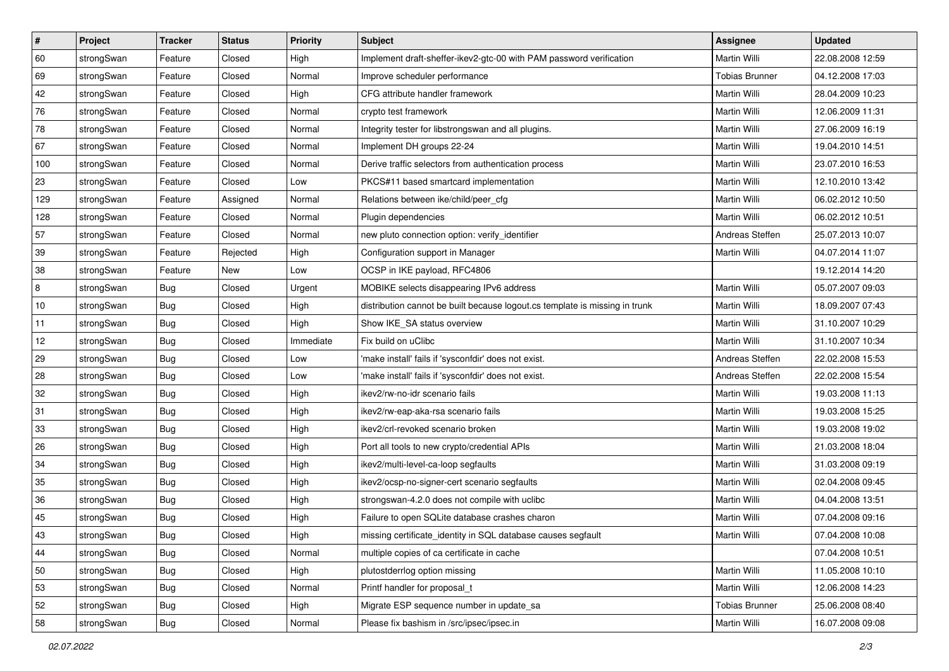| $\vert$ # | Project    | <b>Tracker</b> | <b>Status</b> | <b>Priority</b> | Subject                                                                     | Assignee              | <b>Updated</b>   |
|-----------|------------|----------------|---------------|-----------------|-----------------------------------------------------------------------------|-----------------------|------------------|
| 60        | strongSwan | Feature        | Closed        | High            | Implement draft-sheffer-ikev2-gtc-00 with PAM password verification         | Martin Willi          | 22.08.2008 12:59 |
| 69        | strongSwan | Feature        | Closed        | Normal          | Improve scheduler performance                                               | <b>Tobias Brunner</b> | 04.12.2008 17:03 |
| 42        | strongSwan | Feature        | Closed        | High            | CFG attribute handler framework                                             | Martin Willi          | 28.04.2009 10:23 |
| 76        | strongSwan | Feature        | Closed        | Normal          | crypto test framework                                                       | Martin Willi          | 12.06.2009 11:31 |
| 78        | strongSwan | Feature        | Closed        | Normal          | Integrity tester for libstrongswan and all plugins.                         | Martin Willi          | 27.06.2009 16:19 |
| 67        | strongSwan | Feature        | Closed        | Normal          | Implement DH groups 22-24                                                   | Martin Willi          | 19.04.2010 14:51 |
| 100       | strongSwan | Feature        | Closed        | Normal          | Derive traffic selectors from authentication process                        | Martin Willi          | 23.07.2010 16:53 |
| 23        | strongSwan | Feature        | Closed        | Low             | PKCS#11 based smartcard implementation                                      | Martin Willi          | 12.10.2010 13:42 |
| 129       | strongSwan | Feature        | Assigned      | Normal          | Relations between ike/child/peer_cfg                                        | Martin Willi          | 06.02.2012 10:50 |
| 128       | strongSwan | Feature        | Closed        | Normal          | Plugin dependencies                                                         | Martin Willi          | 06.02.2012 10:51 |
| 57        | strongSwan | Feature        | Closed        | Normal          | new pluto connection option: verify identifier                              | Andreas Steffen       | 25.07.2013 10:07 |
| 39        | strongSwan | Feature        | Rejected      | High            | Configuration support in Manager                                            | Martin Willi          | 04.07.2014 11:07 |
| 38        | strongSwan | Feature        | New           | Low             | OCSP in IKE payload, RFC4806                                                |                       | 19.12.2014 14:20 |
| 8         | strongSwan | <b>Bug</b>     | Closed        | Urgent          | MOBIKE selects disappearing IPv6 address                                    | Martin Willi          | 05.07.2007 09:03 |
| $10$      | strongSwan | <b>Bug</b>     | Closed        | High            | distribution cannot be built because logout.cs template is missing in trunk | Martin Willi          | 18.09.2007 07:43 |
| 11        | strongSwan | Bug            | Closed        | High            | Show IKE_SA status overview                                                 | Martin Willi          | 31.10.2007 10:29 |
| 12        | strongSwan | <b>Bug</b>     | Closed        | Immediate       | Fix build on uClibc                                                         | Martin Willi          | 31.10.2007 10:34 |
| 29        | strongSwan | Bug            | Closed        | Low             | 'make install' fails if 'sysconfdir' does not exist.                        | Andreas Steffen       | 22.02.2008 15:53 |
| 28        | strongSwan | <b>Bug</b>     | Closed        | Low             | 'make install' fails if 'sysconfdir' does not exist.                        | Andreas Steffen       | 22.02.2008 15:54 |
| 32        | strongSwan | Bug            | Closed        | High            | ikev2/rw-no-idr scenario fails                                              | Martin Willi          | 19.03.2008 11:13 |
| 31        | strongSwan | Bug            | Closed        | High            | ikev2/rw-eap-aka-rsa scenario fails                                         | Martin Willi          | 19.03.2008 15:25 |
| 33        | strongSwan | <b>Bug</b>     | Closed        | High            | ikev2/crl-revoked scenario broken                                           | Martin Willi          | 19.03.2008 19:02 |
| 26        | strongSwan | Bug            | Closed        | High            | Port all tools to new crypto/credential APIs                                | Martin Willi          | 21.03.2008 18:04 |
| 34        | strongSwan | Bug            | Closed        | High            | ikev2/multi-level-ca-loop segfaults                                         | Martin Willi          | 31.03.2008 09:19 |
| 35        | strongSwan | Bug            | Closed        | High            | ikev2/ocsp-no-signer-cert scenario segfaults                                | Martin Willi          | 02.04.2008 09:45 |
| 36        | strongSwan | Bug            | Closed        | High            | strongswan-4.2.0 does not compile with uclibc                               | <b>Martin Willi</b>   | 04.04.2008 13:51 |
| 45        | strongSwan | <b>Bug</b>     | Closed        | High            | Failure to open SQLite database crashes charon                              | Martin Willi          | 07.04.2008 09:16 |
| 43        | strongSwan | <b>Bug</b>     | Closed        | High            | missing certificate_identity in SQL database causes segfault                | Martin Willi          | 07.04.2008 10:08 |
| 44        | strongSwan | Bug            | Closed        | Normal          | multiple copies of ca certificate in cache                                  |                       | 07.04.2008 10:51 |
| 50        | strongSwan | Bug            | Closed        | High            | plutostderrlog option missing                                               | Martin Willi          | 11.05.2008 10:10 |
| 53        | strongSwan | Bug            | Closed        | Normal          | Printf handler for proposal_t                                               | Martin Willi          | 12.06.2008 14:23 |
| 52        | strongSwan | <b>Bug</b>     | Closed        | High            | Migrate ESP sequence number in update sa                                    | <b>Tobias Brunner</b> | 25.06.2008 08:40 |
| 58        | strongSwan | <b>Bug</b>     | Closed        | Normal          | Please fix bashism in /src/ipsec/ipsec.in                                   | Martin Willi          | 16.07.2008 09:08 |